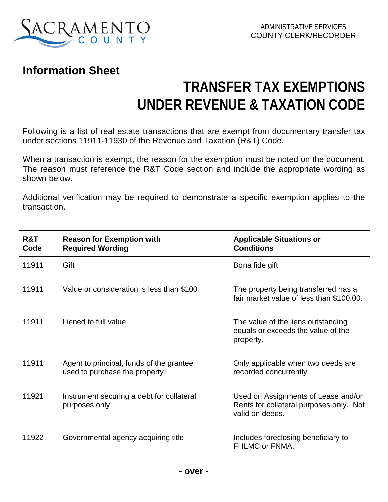

## **Information Sheet**

## **TRANSFER TAX EXEMPTIONS UNDER REVENUE & TAXATION CODE**

Following is a list of real estate transactions that are exempt from documentary transfer tax under sections 11911-11930 of the Revenue and Taxation (R&T) Code.

When a transaction is exempt, the reason for the exemption must be noted on the document. The reason must reference the R&T Code section and include the appropriate wording as shown below.

Additional verification may be required to demonstrate a specific exemption applies to the transaction.

| R&T<br>Code | <b>Reason for Exemption with</b><br><b>Required Wording</b>               | <b>Applicable Situations or</b><br><b>Conditions</b>                                              |
|-------------|---------------------------------------------------------------------------|---------------------------------------------------------------------------------------------------|
| 11911       | Gift                                                                      | Bona fide gift                                                                                    |
| 11911       | Value or consideration is less than \$100                                 | The property being transferred has a<br>fair market value of less than \$100.00.                  |
| 11911       | Liened to full value                                                      | The value of the liens outstanding<br>equals or exceeds the value of the<br>property.             |
| 11911       | Agent to principal, funds of the grantee<br>used to purchase the property | Only applicable when two deeds are<br>recorded concurrently.                                      |
| 11921       | Instrument securing a debt for collateral<br>purposes only                | Used on Assignments of Lease and/or<br>Rents for collateral purposes only. Not<br>valid on deeds. |
| 11922       | Governmental agency acquiring title                                       | Includes foreclosing beneficiary to<br>FHLMC or FNMA.                                             |